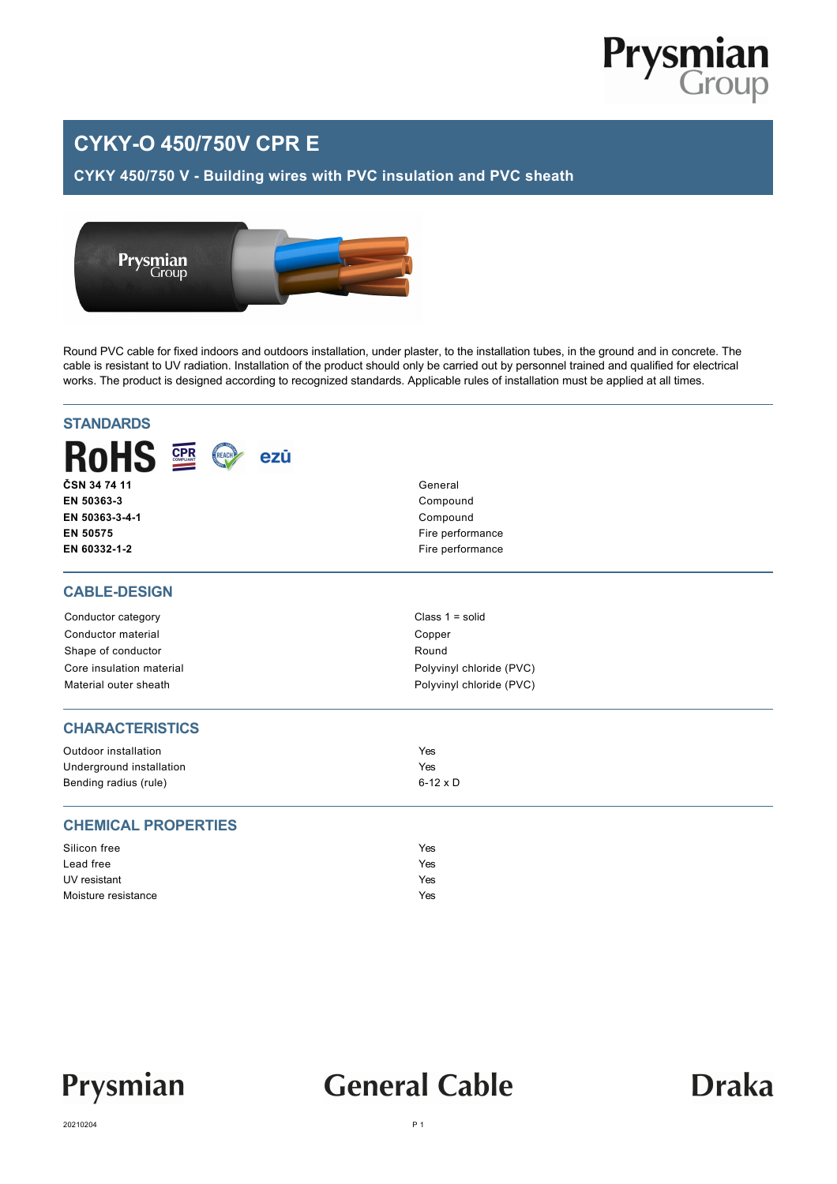

## **CYKY-O 450/750V CPR E**

#### **CYKY 450/750 V - Building wires with PVC insulation and PVC sheath**



Round PVC cable for fixed indoors and outdoors installation, under plaster, to the installation tubes, in the ground and in concrete. The cable is resistant to UV radiation. Installation of the product should only be carried out by personnel trained and qualified for electrical works. The product is designed according to recognized standards. Applicable rules of installation must be applied at all times.

| <b>STANDARDS</b>                          |                          |  |  |  |  |  |  |
|-------------------------------------------|--------------------------|--|--|--|--|--|--|
| <b>RoHS</b><br><b>CPR</b><br>REACH<br>ezū |                          |  |  |  |  |  |  |
| ČSN 34 74 11                              | General                  |  |  |  |  |  |  |
| EN 50363-3                                | Compound                 |  |  |  |  |  |  |
| EN 50363-3-4-1                            | Compound                 |  |  |  |  |  |  |
| EN 50575                                  | Fire performance         |  |  |  |  |  |  |
| EN 60332-1-2                              | Fire performance         |  |  |  |  |  |  |
| <b>CABLE-DESIGN</b>                       |                          |  |  |  |  |  |  |
| Conductor category                        | Class $1 = solid$        |  |  |  |  |  |  |
| Conductor material                        | Copper                   |  |  |  |  |  |  |
| Shape of conductor                        | Round                    |  |  |  |  |  |  |
| Core insulation material                  | Polyvinyl chloride (PVC) |  |  |  |  |  |  |
| Material outer sheath                     | Polyvinyl chloride (PVC) |  |  |  |  |  |  |
| <b>CHARACTERISTICS</b>                    |                          |  |  |  |  |  |  |
| Outdoor installation                      | Yes                      |  |  |  |  |  |  |
| Underground installation                  | Yes                      |  |  |  |  |  |  |
| Bending radius (rule)                     | $6-12 \times D$          |  |  |  |  |  |  |
| <b>CHEMICAL PROPERTIES</b>                |                          |  |  |  |  |  |  |
| Silicon free                              | Yes                      |  |  |  |  |  |  |
| Lead free                                 | Yes                      |  |  |  |  |  |  |
| UV resistant                              | Yes                      |  |  |  |  |  |  |
| Moisture resistance                       | Yes                      |  |  |  |  |  |  |

Prysmian

# **General Cable**